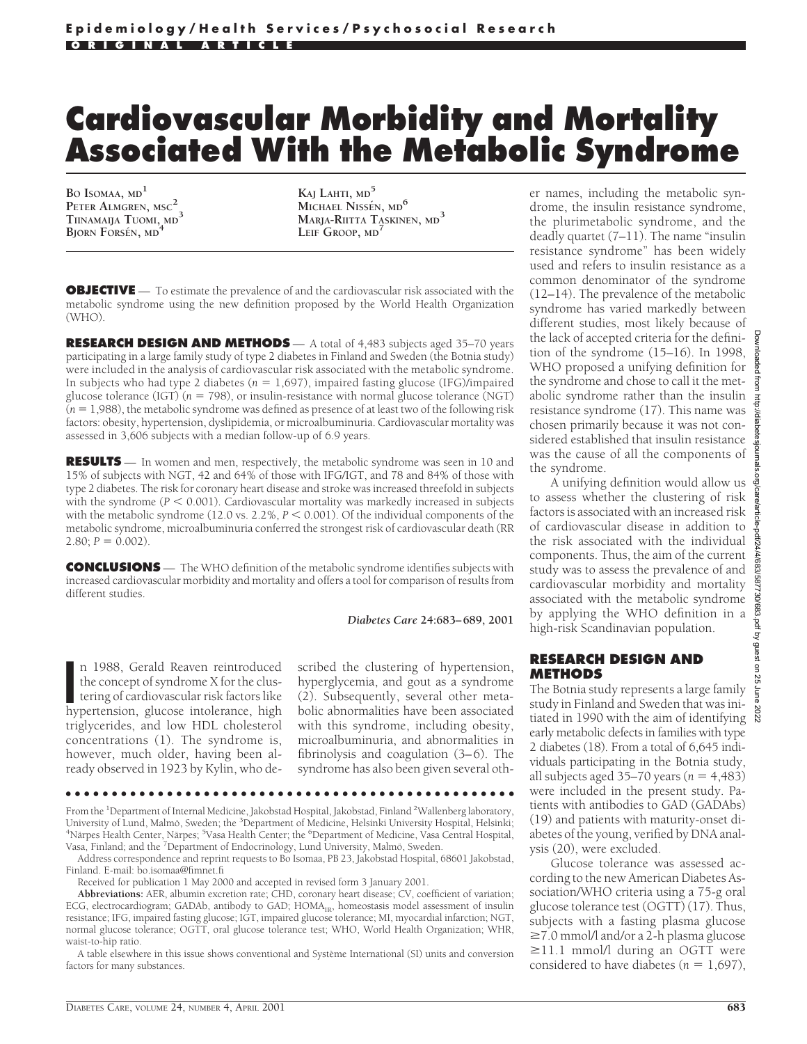# **Cardiovascular Morbidity and Mortality Associated With the Metabolic Syndrome**

**BO ISOMAA, MD1 PETER ALMGREN, MSC2 TIINAMAIJA TUOMI, MD3 BJORN FORSÉN, MD** 

**KAJ LAHTI, MD<sup>5</sup> MICHAEL NISSEN**, MD<sup>6</sup> **MARJA-RIITTA TASKINEN, MD<sup>3</sup> LEIF GROOP, MD<sup>7</sup>**

**OBJECTIVE** — To estimate the prevalence of and the cardiovascular risk associated with the metabolic syndrome using the new definition proposed by the World Health Organization (WHO).

**RESEARCH DESIGN AND METHODS** — A total of 4,483 subjects aged 35–70 years participating in a large family study of type 2 diabetes in Finland and Sweden (the Botnia study) were included in the analysis of cardiovascular risk associated with the metabolic syndrome. In subjects who had type 2 diabetes ( $n = 1,697$ ), impaired fasting glucose (IFG)/impaired glucose tolerance (IGT)  $(n = 798)$ , or insulin-resistance with normal glucose tolerance (NGT)  $(n = 1,988)$ , the metabolic syndrome was defined as presence of at least two of the following risk factors: obesity, hypertension, dyslipidemia, or microalbuminuria. Cardiovascular mortality was assessed in 3,606 subjects with a median follow-up of 6.9 years.

**RESULTS** — In women and men, respectively, the metabolic syndrome was seen in 10 and 15% of subjects with NGT, 42 and 64% of those with IFG/IGT, and 78 and 84% of those with type 2 diabetes. The risk for coronary heart disease and stroke was increased threefold in subjects with the syndrome ( $P < 0.001$ ). Cardiovascular mortality was markedly increased in subjects with the metabolic syndrome (12.0 vs.  $2.2\%$ ,  $P < 0.001$ ). Of the individual components of the metabolic syndrome, microalbuminuria conferred the strongest risk of cardiovascular death (RR  $2.80; P = 0.002$ .

**CONCLUSIONS** — The WHO definition of the metabolic syndrome identifies subjects with increased cardiovascular morbidity and mortality and offers a tool for comparison of results from different studies.

*Diabetes Care* **24:683–689, 2001**

n 1988, Gerald Reaven reintroduced<br>the concept of syndrome X for the clus-<br>tering of cardiovascular risk factors like<br>hypertension, glucose intolerance, high n 1988, Gerald Reaven reintroduced the concept of syndrome X for the clustering of cardiovascular risk factors like triglycerides, and low HDL cholesterol concentrations (1). The syndrome is, however, much older, having been already observed in 1923 by Kylin, who described the clustering of hypertension, hyperglycemia, and gout as a syndrome (2). Subsequently, several other metabolic abnormalities have been associated with this syndrome, including obesity, microalbuminuria, and abnormalities in fibrinolysis and coagulation (3–6). The syndrome has also been given several oth-

●●●●●●●●●●●●●●●●●●●●●●●●●●●●●●●●●●●●●●●●●●●●●●●●●

From the <sup>1</sup>Department of Internal Medicine, Jakobstad Hospital, Jakobstad, Finland <sup>2</sup>Wallenberg laboratory, University of Lund, Malmö, Sweden; the <sup>3</sup>Department of Medicine, Helsinki University Hospital, Helsinki;<br><sup>4</sup>Närpes Health Center, Närpes: <sup>5</sup>Vasa Health Center; the <sup>6</sup>Department of Medicine, Vasa Central Hospital, Närpes Health Center, Närpes; <sup>5</sup>Vasa Health Center; the <sup>6</sup>Department of Medicine, Vasa Central Hospital, Vasa, Finland; and the <sup>7</sup>Department of Endocrinology, Lund University, Malmö, Sweden.

Address correspondence and reprint requests to Bo Isomaa, PB 23, Jakobstad Hospital, 68601 Jakobstad, Finland. E-mail: bo.isomaa@fimnet.fi

Received for publication 1 May 2000 and accepted in revised form 3 January 2001.

**Abbreviations:** AER, albumin excretion rate; CHD, coronary heart disease; CV, coefficient of variation; ECG, electrocardiogram; GADAb, antibody to GAD; HOMA<sub>IR</sub>, homeostasis model assessment of insulin resistance; IFG, impaired fasting glucose; IGT, impaired glucose tolerance; MI, myocardial infarction; NGT, normal glucose tolerance; OGTT, oral glucose tolerance test; WHO, World Health Organization; WHR, waist-to-hip ratio.

A table elsewhere in this issue shows conventional and Système International (SI) units and conversion factors for many substances.

er names, including the metabolic syndrome, the insulin resistance syndrome, the plurimetabolic syndrome, and the deadly quartet (7–11). The name "insulin resistance syndrome" has been widely used and refers to insulin resistance as a common denominator of the syndrome (12–14). The prevalence of the metabolic syndrome has varied markedly between different studies, most likely because of the lack of accepted criteria for the definition of the syndrome (15–16). In 1998, WHO proposed a unifying definition for the syndrome and chose to call it the metabolic syndrome rather than the insulin resistance syndrome (17). This name was chosen primarily because it was not considered established that insulin resistance was the cause of all the components of the syndrome.

A unifying definition would allow us to assess whether the clustering of risk factors is associated with an increased risk of cardiovascular disease in addition to the risk associated with the individual components. Thus, the aim of the current study was to assess the prevalence of and cardiovascular morbidity and mortality associated with the metabolic syndrome by applying the WHO definition in a high-risk Scandinavian population.

#### **RESEARCH DESIGN AND METHODS**

The Botnia study represents a large family study in Finland and Sweden that was initiated in 1990 with the aim of identifying early metabolic defects in families with type 2 diabetes (18). From a total of 6,645 individuals participating in the Botnia study, all subjects aged  $35-70$  years ( $n = 4,483$ ) were included in the present study. Patients with antibodies to GAD (GADAbs) (19) and patients with maturity-onset diabetes of the young, verified by DNA analysis (20), were excluded.

Glucose tolerance was assessed according to the new American Diabetes Association/WHO criteria using a 75-g oral glucose tolerance test (OGTT) (17). Thus, subjects with a fasting plasma glucose  $\geq$ 7.0 mmol/l and/or a 2-h plasma glucose  $\geq$ 11.1 mmol/l during an OGTT were considered to have diabetes ( $n = 1,697$ ),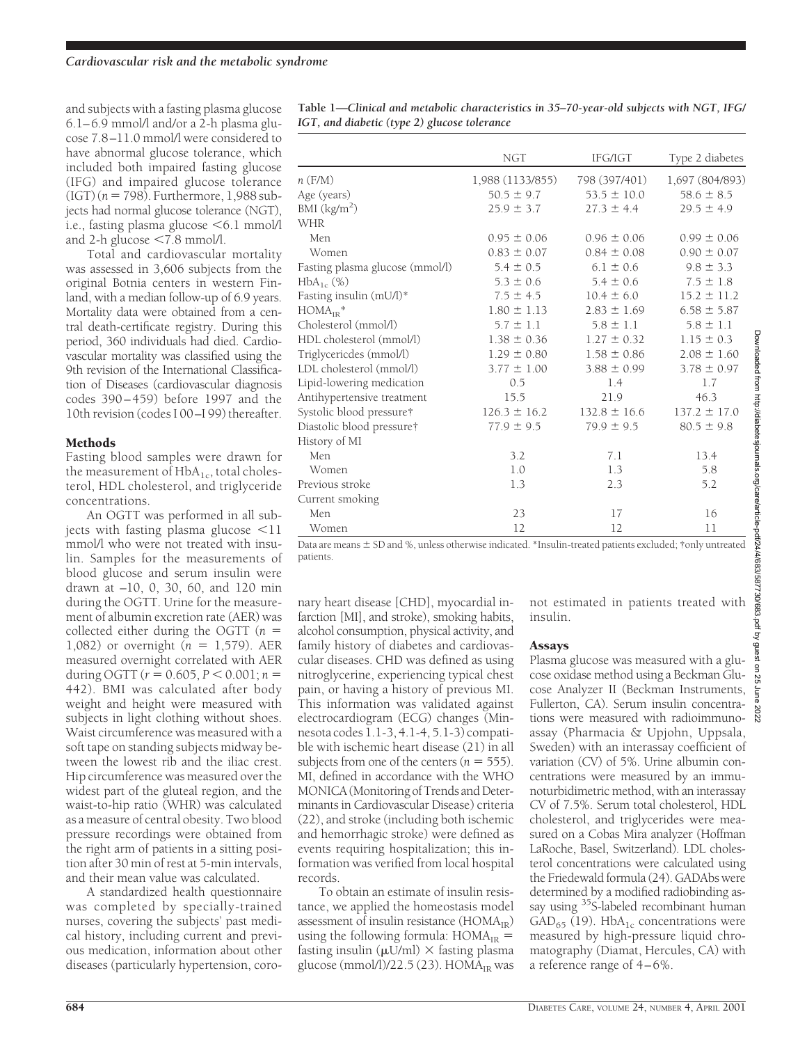and subjects with a fasting plasma glucose 6.1–6.9 mmol/l and/or a 2-h plasma glucose 7.8–11.0 mmol/l were considered to have abnormal glucose tolerance, which included both impaired fasting glucose (IFG) and impaired glucose tolerance  $(IGT)$  ( $n = 798$ ). Furthermore, 1,988 subjects had normal glucose tolerance (NGT), i.e., fasting plasma glucose  $\leq 6.1$  mmol/l and 2-h glucose  $\leq 7.8$  mmol/l.

Total and cardiovascular mortality was assessed in 3,606 subjects from the original Botnia centers in western Finland, with a median follow-up of 6.9 years. Mortality data were obtained from a central death-certificate registry. During this period, 360 individuals had died. Cardiovascular mortality was classified using the 9th revision of the International Classification of Diseases (cardiovascular diagnosis codes 390 – 459) before 1997 and the 10th revision (codes I 00–I 99) thereafter.

### Methods

Fasting blood samples were drawn for the measurement of  $HbA_{1c}$ , total cholesterol, HDL cholesterol, and triglyceride concentrations.

An OGTT was performed in all subjects with fasting plasma glucose  $\leq 11$ mmol/l who were not treated with insulin. Samples for the measurements of blood glucose and serum insulin were drawn at –10, 0, 30, 60, and 120 min during the OGTT. Urine for the measurement of albumin excretion rate (AER) was collected either during the OGTT ( $n =$ 1,082) or overnight  $(n = 1,579)$ . AER measured overnight correlated with AER during OGTT ( $r = 0.605$ ,  $P < 0.001$ ;  $n =$ 442). BMI was calculated after body weight and height were measured with subjects in light clothing without shoes. Waist circumference was measured with a soft tape on standing subjects midway between the lowest rib and the iliac crest. Hip circumference was measured over the widest part of the gluteal region, and the waist-to-hip ratio (WHR) was calculated as a measure of central obesity. Two blood pressure recordings were obtained from the right arm of patients in a sitting position after 30 min of rest at 5-min intervals, and their mean value was calculated.

A standardized health questionnaire was completed by specially-trained nurses, covering the subjects' past medical history, including current and previous medication, information about other diseases (particularly hypertension, coro-

| Table 1—Clinical and metabolic characteristics in 35–70-year-old subjects with NGT, IFG/ |  |
|------------------------------------------------------------------------------------------|--|
| IGT, and diabetic (type 2) glucose tolerance                                             |  |

|                                 | <b>NGT</b>       | IFG/IGT          | Type 2 diabetes  |
|---------------------------------|------------------|------------------|------------------|
| $n$ (F/M)                       | 1,988 (1133/855) | 798 (397/401)    | 1,697 (804/893)  |
| Age (years)                     | $50.5 \pm 9.7$   | $53.5 \pm 10.0$  | $58.6 \pm 8.5$   |
| BMI $(kg/m2)$                   | $25.9 \pm 3.7$   | $27.3 \pm 4.4$   | $29.5 \pm 4.9$   |
| <b>WHR</b>                      |                  |                  |                  |
| Men                             | $0.95 \pm 0.06$  | $0.96 \pm 0.06$  | $0.99 \pm 0.06$  |
| Women                           | $0.83 \pm 0.07$  | $0.84 \pm 0.08$  | $0.90 \pm 0.07$  |
| Fasting plasma glucose (mmol/l) | $5.4 \pm 0.5$    | $6.1 \pm 0.6$    | $9.8 \pm 3.3$    |
| $HbA_{1c}$ (%)                  | $5.3 \pm 0.6$    | $5.4 \pm 0.6$    | $7.5 \pm 1.8$    |
| Fasting insulin (mU/l)*         | $7.5 \pm 4.5$    | $10.4 \pm 6.0$   | $15.2 \pm 11.2$  |
| $HOMA_{IR}$ *                   | $1.80 \pm 1.13$  | $2.83 \pm 1.69$  | $6.58 \pm 5.87$  |
| Cholesterol (mmol/l)            | $5.7 \pm 1.1$    | $5.8 \pm 1.1$    | $5.8 \pm 1.1$    |
| HDL cholesterol (mmol/l)        | $1.38 \pm 0.36$  | $1.27 \pm 0.32$  | $1.15 \pm 0.3$   |
| Triglycericdes (mmol/l)         | $1.29 \pm 0.80$  | $1.58 \pm 0.86$  | $2.08 \pm 1.60$  |
| LDL cholesterol (mmol/l)        | $3.77 \pm 1.00$  | $3.88 \pm 0.99$  | $3.78 \pm 0.97$  |
| Lipid-lowering medication       | 0.5              | 1.4              | 1.7              |
| Antihypertensive treatment      | 15.5             | 21.9             | 46.3             |
| Systolic blood pressure†        | $126.3 \pm 16.2$ | $132.8 \pm 16.6$ | $137.2 \pm 17.0$ |
| Diastolic blood pressure†       | $77.9 \pm 9.5$   | $79.9 \pm 9.5$   | $80.5 \pm 9.8$   |
| History of MI                   |                  |                  |                  |
| Men                             | 3.2              | 7.1              | 13.4             |
| Women                           | 1.0              | 1.3              | 5.8              |
| Previous stroke                 | 1.3              | 2.3              | 5.2              |
| Current smoking                 |                  |                  |                  |
| Men                             | 23               | 17               | 16               |
| Women                           | 12               | 12               | 11               |

Data are means  $\pm$  SD and %, unless otherwise indicated. \*Insulin-treated patients excluded; †only untreated patients.

nary heart disease [CHD], myocardial infarction [MI], and stroke), smoking habits, alcohol consumption, physical activity, and family history of diabetes and cardiovascular diseases. CHD was defined as using nitroglycerine, experiencing typical chest pain, or having a history of previous MI. This information was validated against electrocardiogram (ECG) changes (Minnesota codes 1.1-3, 4.1-4, 5.1-3) compatible with ischemic heart disease (21) in all subjects from one of the centers  $(n = 555)$ . MI, defined in accordance with the WHO MONICA (Monitoring of Trends and Determinants in Cardiovascular Disease) criteria (22), and stroke (including both ischemic and hemorrhagic stroke) were defined as events requiring hospitalization; this information was verified from local hospital records.

To obtain an estimate of insulin resistance, we applied the homeostasis model assessment of insulin resistance  $(HOMA_{IR})$ using the following formula:  $HOMA_{IR} =$ fasting insulin ( $\mu$ U/ml)  $\times$  fasting plasma glucose (mmol/l)/22.5 (23).  $HOMA_{IR}$  was

not estimated in patients treated with insulin.

#### Assays

Plasma glucose was measured with a glucose oxidase method using a Beckman Glucose Analyzer II (Beckman Instruments, Fullerton, CA). Serum insulin concentrations were measured with radioimmunoassay (Pharmacia & Upjohn, Uppsala, Sweden) with an interassay coefficient of variation (CV) of 5%. Urine albumin concentrations were measured by an immunoturbidimetric method, with an interassay CV of 7.5%. Serum total cholesterol, HDL cholesterol, and triglycerides were measured on a Cobas Mira analyzer (Hoffman LaRoche, Basel, Switzerland). LDL cholesterol concentrations were calculated using the Friedewald formula (24). GADAbs were determined by a modified radiobinding assay using <sup>35</sup>S-labeled recombinant human  $GAD_{65}$  (19). HbA<sub>1c</sub> concentrations were measured by high-pressure liquid chromatography (Diamat, Hercules, CA) with a reference range of 4–6%.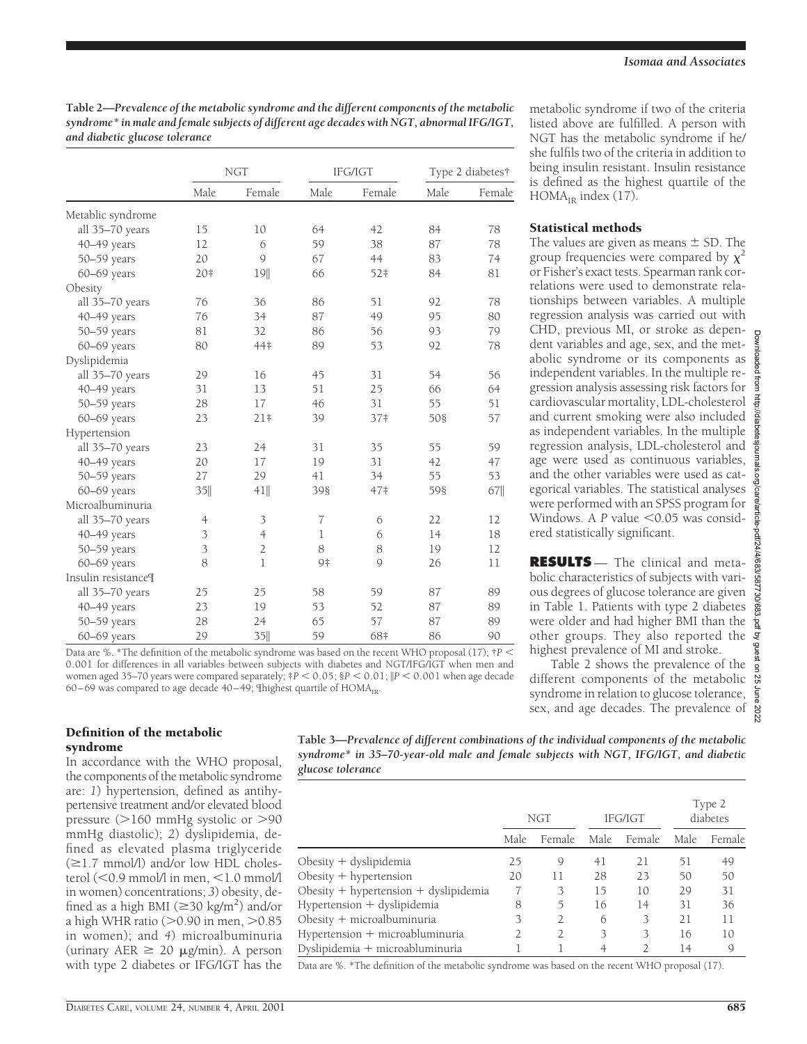**Table 2—***Prevalence of the metabolic syndrome and the different components of the metabolic syndrome\* in male and female subjects of different age decades with NGT, abnormal IFG/IGT, and diabetic glucose tolerance*

|                     |                | <b>NGT</b>     | IFG/IGT        |                 |      | Type 2 diabetes† |  |
|---------------------|----------------|----------------|----------------|-----------------|------|------------------|--|
|                     | Male           | Female         | Male           | Female          | Male | Female           |  |
| Metablic syndrome   |                |                |                |                 |      |                  |  |
| all 35-70 years     | 15             | 10             | 64             | 42              | 84   | 78               |  |
| 40-49 years         | 12             | 6              | 59             | 38              | 87   | 78               |  |
| 50-59 years         | 20             | $\mathcal{Q}$  | 67             | 44              | 83   | 74               |  |
| $60 - 69$ years     | 20#            | 19             | 66             | 52‡             | 84   | 81               |  |
| Obesity             |                |                |                |                 |      |                  |  |
| all 35-70 years     | 76             | 36             | 86             | 51              | 92   | 78               |  |
| 40-49 years         | 76             | 34             | 87             | 49              | 95   | 80               |  |
| 50-59 years         | 81             | 32             | 86             | 56              | 93   | 79               |  |
| 60-69 years         | 80             | 44‡            | 89             | 53              | 92   | 78               |  |
| Dyslipidemia        |                |                |                |                 |      |                  |  |
| all 35-70 years     | 29             | 16             | 45             | 31              | 54   | 56               |  |
| 40-49 years         | 31             | 13             | 51             | 25              | 66   | 64               |  |
| 50-59 years         | 28             | 17             | 46             | 31              | 55   | 51               |  |
| 60-69 years         | 23             | $21+$          | 39             | 37 <sup>‡</sup> | 508  | 57               |  |
| Hypertension        |                |                |                |                 |      |                  |  |
| all 35-70 years     | 23             | 24             | 31             | 35              | 55   | 59               |  |
| 40-49 years         | 20             | 17             | 19             | 31              | 42   | 47               |  |
| 50-59 years         | 27             | 29             | 41             | 34              | 55   | 53               |  |
| $60 - 69$ years     | 35             | 41             | 398            | 47#             | 598  | 67               |  |
| Microalbuminuria    |                |                |                |                 |      |                  |  |
| all 35-70 years     | $\overline{4}$ | 3              | $\overline{7}$ | 6               | 22   | 12               |  |
| 40-49 years         | 3              | $\overline{4}$ | $\mathbf 1$    | 6               | 14   | 18               |  |
| 50-59 years         | 3              | $\overline{2}$ | 8              | 8               | 19   | 12               |  |
| 60-69 years         | 8              | 1              | 9‡             | $\mathcal{Q}$   | 26   | 11               |  |
| Insulin resistance[ |                |                |                |                 |      |                  |  |
| all 35-70 years     | 25             | 25             | 58             | 59              | 87   | 89               |  |
| 40-49 years         | 23             | 19             | 53             | 52              | 87   | 89               |  |
| 50-59 years         | 28             | 24             | 65             | 57              | 87   | 89               |  |
| 60-69 years         | 29             | 35             | 59             | 68‡             | 86   | 90               |  |

Data are %. \*The definition of the metabolic syndrome was based on the recent WHO proposal (17);  $\uparrow$  *P* < 0.001 for differences in all variables between subjects with diabetes and NGT/IFG/IGT when men and women aged 35–70 years were compared separately;  $P < 0.05$ ;  $P < 0.01$ ;  $\|P < 0.001$  when age decade 60–69 was compared to age decade 40–49; Thighest quartile of  $HOMA<sub>IR</sub>$ .

metabolic syndrome if two of the criteria listed above are fulfilled. A person with NGT has the metabolic syndrome if he/ she fulfils two of the criteria in addition to being insulin resistant. Insulin resistance is defined as the highest quartile of the  $HOMA<sub>IR</sub>$  index (17).

# Statistical methods

The values are given as means  $\pm$  SD. The group frequencies were compared by  $\chi^2$ or Fisher's exact tests. Spearman rank correlations were used to demonstrate relationships between variables. A multiple regression analysis was carried out with CHD, previous MI, or stroke as dependent variables and age, sex, and the metabolic syndrome or its components as independent variables. In the multiple regression analysis assessing risk factors for cardiovascular mortality, LDL-cholesterol and current smoking were also included as independent variables. In the multiple regression analysis, LDL-cholesterol and age were used as continuous variables, and the other variables were used as categorical variables. The statistical analyses were performed with an SPSS program for Windows. A *P* value <0.05 was considered statistically significant.

**RESULTS** — The clinical and metabolic characteristics of subjects with various degrees of glucose tolerance are given in Table 1. Patients with type 2 diabetes were older and had higher BMI than the other groups. They also reported the highest prevalence of MI and stroke.

Table 2 shows the prevalence of the different components of the metabolic syndrome in relation to glucose tolerance, sex, and age decades. The prevalence of

## Definition of the metabolic syndrome

In accordance with the WHO proposal, the components of the metabolic syndrome are: *1*) hypertension, defined as antihypertensive treatment and/or elevated blood pressure  $(>160 \text{ mmHg}$  systolic or  $>90$ mmHg diastolic); *2*) dyslipidemia, defined as elevated plasma triglyceride  $(\geq 1.7$  mmol/l) and/or low HDL cholesterol  $(<$  0.9 mmol/l in men,  $<$  1.0 mmol/l in women) concentrations; *3*) obesity, defined as a high BMI ( $\geq$ 30 kg/m<sup>2</sup>) and/or a high WHR ratio ( $>$ 0.90 in men,  $>$ 0.85 in women); and *4*) microalbuminuria (urinary AER  $\geq$  20  $\mu$ g/min). A person with type 2 diabetes or IFG/IGT has the

**Table 3—***Prevalence of different combinations of the individual components of the metabolic syndrome\* in 35–70-year-old male and female subjects with NGT, IFG/IGT, and diabetic glucose tolerance*

|                                           | IFG/IGT<br>NGT |        | Type 2<br>diabetes |               |      |        |
|-------------------------------------------|----------------|--------|--------------------|---------------|------|--------|
|                                           | Male           | Female | Male.              | Female        | Male | Female |
| Obesity $+$ dyslipidemia                  | 25             | 9      | 41                 | 21            | 51   | 49     |
| Obesity $+$ hypertension                  | 20             | 11     | 28                 | 23            | 50   | 50     |
| Obesity $+$ hypertension $+$ dyslipidemia |                | 3      | 15                 | 10            | 29   | 31     |
| Hypertension + dyslipidemia               | 8              | 5      | 16                 | 14            | 31   | 36     |
| Obesity $+$ microalbuminuria              | 3              | 2      | 6                  | 3             | 21   | 11     |
| Hypertension + microabluminuria           |                | 2      | 3                  | 3             | 16   | 10     |
| Dyslipidemia + microabluminuria           |                |        |                    | $\mathcal{D}$ | 14   | 9      |

Data are %. \*The definition of the metabolic syndrome was based on the recent WHO proposal (17).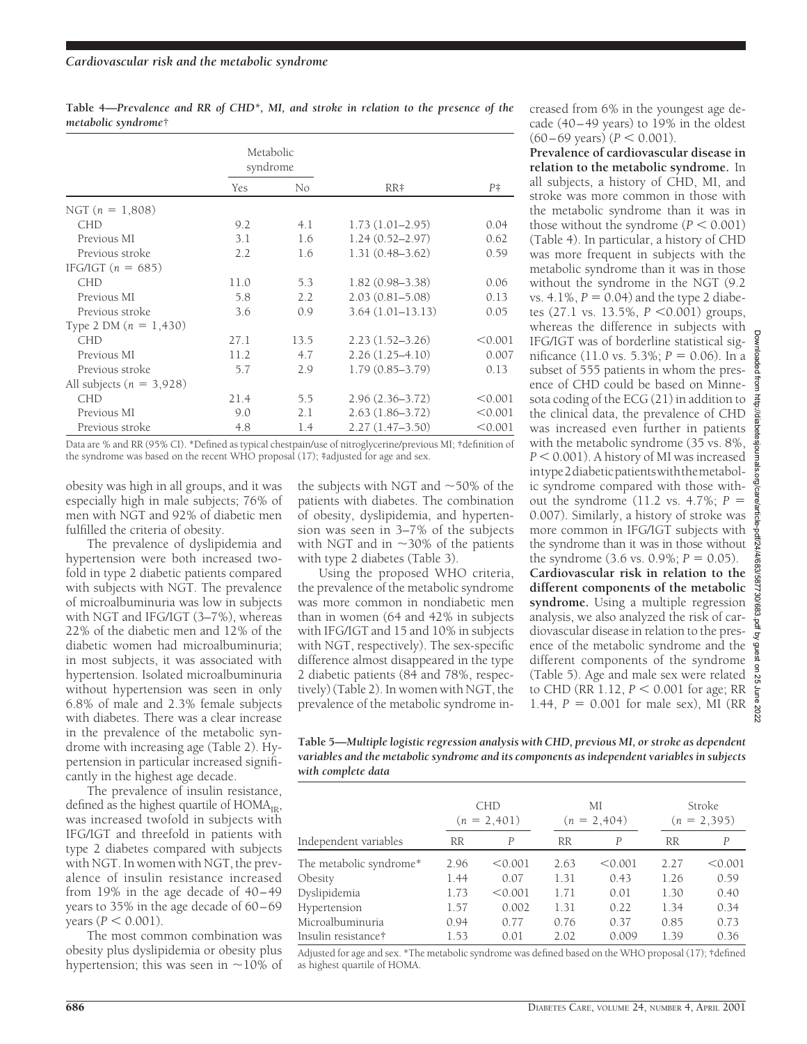|                              |      | Metabolic<br>syndrome |                     |           |
|------------------------------|------|-----------------------|---------------------|-----------|
|                              | Yes  | No                    | RR#                 | $P^{\pm}$ |
| NGT $(n = 1,808)$            |      |                       |                     |           |
| <b>CHD</b>                   | 9.2  | 4.1                   | $1.73(1.01-2.95)$   | 0.04      |
| Previous MI                  | 3.1  | 1.6                   | $1.24(0.52 - 2.97)$ | 0.62      |
| Previous stroke              | 2.2  | 1.6                   | $1.31(0.48 - 3.62)$ | 0.59      |
| IFG/IGT $(n = 685)$          |      |                       |                     |           |
| <b>CHD</b>                   | 11.0 | 5.3                   | $1.82(0.98 - 3.38)$ | 0.06      |
| Previous MI                  | 5.8  | 2.2                   | $2.03(0.81 - 5.08)$ | 0.13      |
| Previous stroke              | 3.6  | 0.9                   | $3.64(1.01-13.13)$  | 0.05      |
| Type 2 DM $(n = 1,430)$      |      |                       |                     |           |
| <b>CHD</b>                   | 27.1 | 13.5                  | $2.23(1.52 - 3.26)$ | < 0.001   |
| Previous MI                  | 11.2 | 4.7                   | $2.26(1.25-4.10)$   | 0.007     |
| Previous stroke              | 5.7  | 2.9                   | $1.79(0.85 - 3.79)$ | 0.13      |
| All subjects ( $n = 3,928$ ) |      |                       |                     |           |
| <b>CHD</b>                   | 21.4 | 5.5                   | $2.96(2.36 - 3.72)$ | < 0.001   |
| Previous MI                  | 9.0  | 2.1                   | $2.63(1.86-3.72)$   | < 0.001   |
| Previous stroke              | 4.8  | 1.4                   | $2.27(1.47-3.50)$   | < 0.001   |

**Table 4—***Prevalence and RR of CHD\*, MI, and stroke in relation to the presence of the metabolic syndrome*†

Data are % and RR (95% CI). \*Defined as typical chestpain/use of nitroglycerine/previous MI; †definition of the syndrome was based on the recent WHO proposal (17); ‡adjusted for age and sex.

obesity was high in all groups, and it was especially high in male subjects; 76% of men with NGT and 92% of diabetic men fulfilled the criteria of obesity.

The prevalence of dyslipidemia and hypertension were both increased twofold in type 2 diabetic patients compared with subjects with NGT. The prevalence of microalbuminuria was low in subjects with NGT and IFG/IGT (3–7%), whereas 22% of the diabetic men and 12% of the diabetic women had microalbuminuria; in most subjects, it was associated with hypertension. Isolated microalbuminuria without hypertension was seen in only 6.8% of male and 2.3% female subjects with diabetes. There was a clear increase in the prevalence of the metabolic syndrome with increasing age (Table 2). Hypertension in particular increased significantly in the highest age decade.

The prevalence of insulin resistance, defined as the highest quartile of  $HOMA_{IR}$ , was increased twofold in subjects with IFG/IGT and threefold in patients with type 2 diabetes compared with subjects with NGT. In women with NGT, the prevalence of insulin resistance increased from 19% in the age decade of 40–49 years to 35% in the age decade of 60–69  $years (P < 0.001).$ 

The most common combination was obesity plus dyslipidemia or obesity plus hypertension; this was seen in  $\sim$ 10% of the subjects with NGT and  $\sim$ 50% of the patients with diabetes. The combination of obesity, dyslipidemia, and hypertension was seen in 3–7% of the subjects with NGT and in  $\sim$ 30% of the patients with type 2 diabetes (Table 3).

Using the proposed WHO criteria, the prevalence of the metabolic syndrome was more common in nondiabetic men than in women (64 and 42% in subjects with IFG/IGT and 15 and 10% in subjects with NGT, respectively). The sex-specific difference almost disappeared in the type 2 diabetic patients (84 and 78%, respectively) (Table 2). In women with NGT, the prevalence of the metabolic syndrome increased from 6% in the youngest age decade (40–49 years) to 19% in the oldest  $(60-69 \text{ years}) (P < 0.001).$ 

**Prevalence of cardiovascular disease in relation to the metabolic syndrome.** In all subjects, a history of CHD, MI, and stroke was more common in those with the metabolic syndrome than it was in those without the syndrome  $(P < 0.001)$ (Table 4). In particular, a history of CHD was more frequent in subjects with the metabolic syndrome than it was in those without the syndrome in the NGT (9.2 vs.  $4.1\%$ ,  $P = 0.04$ ) and the type 2 diabetes (27.1 vs. 13.5%,  $P < 0.001$ ) groups, whereas the difference in subjects with IFG/IGT was of borderline statistical significance (11.0 vs. 5.3%;  $P = 0.06$ ). In a subset of 555 patients in whom the presence of CHD could be based on Minnesota coding of the ECG (21) in addition to the clinical data, the prevalence of CHD was increased even further in patients with the metabolic syndrome (35 vs. 8%, *P* < 0.001). A history of MI was increased intype2diabeticpatientswiththemetabolic syndrome compared with those without the syndrome (11.2 vs.  $4.7\%$ ;  $P =$ 0.007). Similarly, a history of stroke was more common in IFG/IGT subjects with the syndrome than it was in those without the syndrome  $(3.6 \text{ vs. } 0.9\%; P = 0.05)$ . **Cardiovascular risk in relation to the**

**different components of the metabolic syndrome.** Using a multiple regression analysis, we also analyzed the risk of cardiovascular disease in relation to the presence of the metabolic syndrome and the different components of the syndrome (Table 5). Age and male sex were related to CHD (RR  $1.12, P < 0.001$  for age; RR 1.44,  $P = 0.001$  for male sex), MI (RR

**Table 5—***Multiple logistic regression analysis with CHD, previous MI, or stroke as dependent variables and the metabolic syndrome and its components as independent variables in subjects with complete data*

|                         |           | <b>CHD</b><br>$(n = 2,401)$ |           | МI<br>$(n = 2,404)$ |           | Stroke<br>$(n = 2, 395)$ |  |
|-------------------------|-----------|-----------------------------|-----------|---------------------|-----------|--------------------------|--|
| Independent variables   | <b>RR</b> | P                           | <b>RR</b> | $\overline{P}$      | <b>RR</b> | P                        |  |
| The metabolic syndrome* | 2.96      | < 0.001                     | 2.63      | < 0.001             | 2.27      | < 0.001                  |  |
| Obesity                 | 1.44      | 0.07                        | 1.31      | 0.43                | 1.26      | 0.59                     |  |
| Dyslipidemia            | 1.73      | < 0.001                     | 1.71      | 0.01                | 1.30      | 0.40                     |  |
| Hypertension            | 1.57      | 0.002                       | 1.31      | 0.22                | 1.34      | 0.34                     |  |
| Microalbuminuria        | 0.94      | 0.77                        | 0.76      | 0.37                | 0.85      | 0.73                     |  |
| Insulin resistance†     | 1.53      | 0.01                        | 2.02      | 0.009               | 1.39      | 0.36                     |  |

Adjusted for age and sex. \*The metabolic syndrome was defined based on the WHO proposal (17); †defined as highest quartile of HOMA.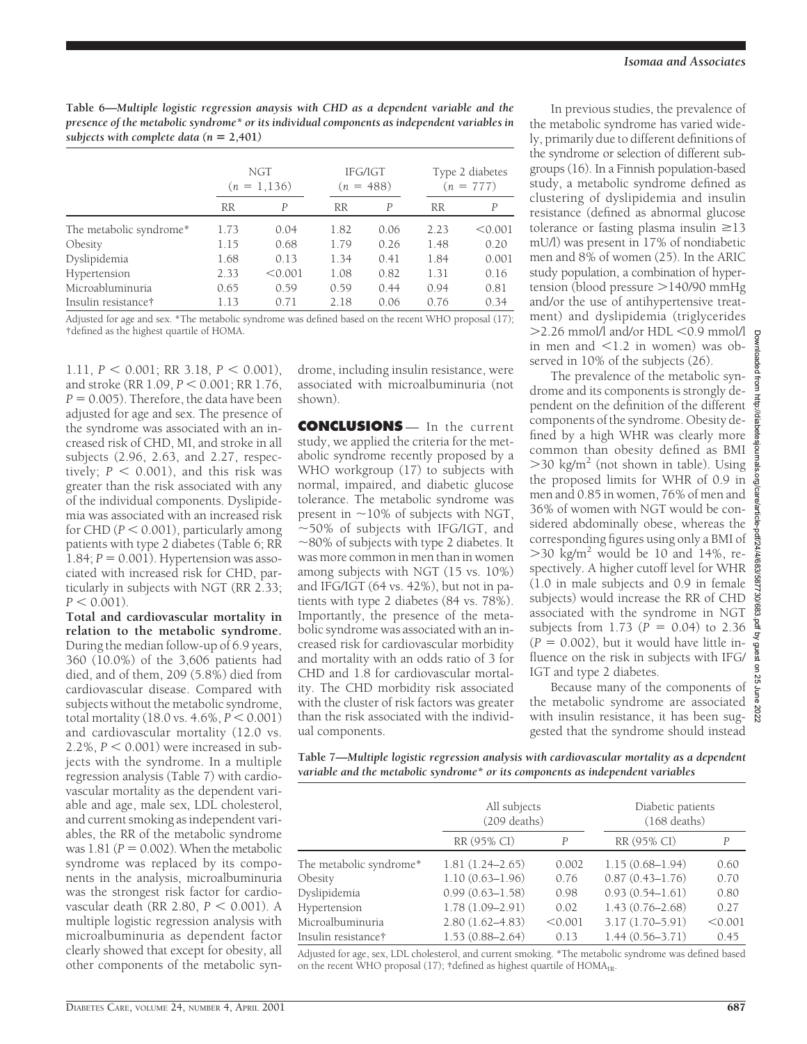**Table 6—***Multiple logistic regression anaysis with CHD as a dependent variable and the presence of the metabolic syndrome\* or its individual components as independent variables in* subjects with complete data  $(n = 2,401)$ 

|                         |           | NGT<br>IFG/IGT<br>$(n = 488)$<br>$(n = 1, 136)$ |           |      |           |         |  | Type 2 diabetes<br>$(n = 777)$ |
|-------------------------|-----------|-------------------------------------------------|-----------|------|-----------|---------|--|--------------------------------|
|                         | <b>RR</b> | P                                               | <b>RR</b> | P    | <b>RR</b> | P       |  |                                |
| The metabolic syndrome* | 1.73      | 0.04                                            | 1.82      | 0.06 | 2.23      | < 0.001 |  |                                |
| Obesity                 | 1.15      | 0.68                                            | 1.79      | 0.26 | 1.48      | 0.20    |  |                                |
| Dyslipidemia            | 1.68      | 0.13                                            | 1.34      | 0.41 | 1.84      | 0.001   |  |                                |
| Hypertension            | 2.33      | < 0.001                                         | 1.08      | 0.82 | 1.31      | 0.16    |  |                                |
| Microabluminuria        | 0.65      | 0.59                                            | 0.59      | 0.44 | 0.94      | 0.81    |  |                                |
| Insulin resistance†     | 1.13      | 0.71                                            | 2.18      | 0.06 | 0.76      | 0.34    |  |                                |

Adjusted for age and sex. \*The metabolic syndrome was defined based on the recent WHO proposal (17); †defined as the highest quartile of HOMA.

1.11,  $P < 0.001$ ; RR 3.18,  $P < 0.001$ ). and stroke (RR 1.09, *P* < 0.001; RR 1.76,  $P = 0.005$ ). Therefore, the data have been adjusted for age and sex. The presence of the syndrome was associated with an increased risk of CHD, MI, and stroke in all subjects (2.96, 2.63, and 2.27, respectively;  $P < 0.001$ ), and this risk was greater than the risk associated with any of the individual components. Dyslipidemia was associated with an increased risk for CHD ( $P < 0.001$ ), particularly among patients with type 2 diabetes (Table 6; RR 1.84;  $P = 0.001$ ). Hypertension was associated with increased risk for CHD, particularly in subjects with NGT (RR 2.33;  $P < 0.001$ ).

**Total and cardiovascular mortality in relation to the metabolic syndrome.** During the median follow-up of 6.9 years, 360 (10.0%) of the 3,606 patients had died, and of them, 209 (5.8%) died from cardiovascular disease. Compared with subjects without the metabolic syndrome, total mortality  $(18.0 \text{ vs. } 4.6\%, P < 0.001)$ and cardiovascular mortality (12.0 vs. 2.2%,  $P < 0.001$ ) were increased in subjects with the syndrome. In a multiple regression analysis (Table 7) with cardiovascular mortality as the dependent variable and age, male sex, LDL cholesterol, and current smoking as independent variables, the RR of the metabolic syndrome was  $1.81$  ( $P = 0.002$ ). When the metabolic syndrome was replaced by its components in the analysis, microalbuminuria was the strongest risk factor for cardiovascular death (RR 2.80,  $P < 0.001$ ). A multiple logistic regression analysis with microalbuminuria as dependent factor clearly showed that except for obesity, all other components of the metabolic syndrome, including insulin resistance, were associated with microalbuminuria (not shown).

**CONCLUSIONS** — In the current study, we applied the criteria for the metabolic syndrome recently proposed by a WHO workgroup (17) to subjects with normal, impaired, and diabetic glucose tolerance. The metabolic syndrome was present in  $\sim$ 10% of subjects with NGT,  $\sim$  50% of subjects with IFG/IGT, and  $\sim$ 80% of subjects with type 2 diabetes. It was more common in men than in women among subjects with NGT (15 vs. 10%) and IFG/IGT (64 vs. 42%), but not in patients with type 2 diabetes (84 vs. 78%). Importantly, the presence of the metabolic syndrome was associated with an increased risk for cardiovascular morbidity and mortality with an odds ratio of 3 for CHD and 1.8 for cardiovascular mortality. The CHD morbidity risk associated with the cluster of risk factors was greater than the risk associated with the individual components.

In previous studies, the prevalence of the metabolic syndrome has varied widely, primarily due to different definitions of the syndrome or selection of different subgroups (16). In a Finnish population-based study, a metabolic syndrome defined as clustering of dyslipidemia and insulin resistance (defined as abnormal glucose tolerance or fasting plasma insulin  $\geq$ 13 mU/l) was present in 17% of nondiabetic men and 8% of women (25). In the ARIC study population, a combination of hypertension (blood pressure  $>$ 140/90 mmHg and/or the use of antihypertensive treatment) and dyslipidemia (triglycerides  $>$ 2.26 mmol/l and/or HDL  $<$ 0.9 mmol/l in men and  $\leq 1.2$  in women) was observed in 10% of the subjects (26).

The prevalence of the metabolic syndrome and its components is strongly dependent on the definition of the different components of the syndrome. Obesity defined by a high WHR was clearly more common than obesity defined as BMI  $>$ 30 kg/m<sup>2</sup> (not shown in table). Using the proposed limits for WHR of 0.9 in men and 0.85 in women, 76% of men and 36% of women with NGT would be considered abdominally obese, whereas the corresponding figures using only a BMI of  $>$ 30 kg/m<sup>2</sup> would be 10 and 14%, respectively. A higher cutoff level for WHR (1.0 in male subjects and 0.9 in female subjects) would increase the RR of CHD associated with the syndrome in NGT subjects from 1.73 ( $P = 0.04$ ) to 2.36  $(P = 0.002)$ , but it would have little influence on the risk in subjects with IFG/ IGT and type 2 diabetes.

Because many of the components of the metabolic syndrome are associated with insulin resistance, it has been sug- $\frac{8}{6}$ gested that the syndrome should instead

**Table 7—***Multiple logistic regression analysis with cardiovascular mortality as a dependent variable and the metabolic syndrome\* or its components as independent variables*

|                         | All subjects<br>(209 deaths) | Diabetic patients<br>$(168$ deaths) |                     |         |
|-------------------------|------------------------------|-------------------------------------|---------------------|---------|
|                         | RR (95% CI)                  | P                                   | RR (95% CI)         | P       |
| The metabolic syndrome* | $1.81(1.24 - 2.65)$          | 0.002                               | $1.15(0.68 - 1.94)$ | 0.60    |
| Obesity                 | $1.10(0.63 - 1.96)$          | 0.76                                | $0.87(0.43 - 1.76)$ | 0.70    |
| Dyslipidemia            | $0.99(0.63 - 1.58)$          | 0.98                                | $0.93(0.54 - 1.61)$ | 0.80    |
| Hypertension            | $1.78(1.09 - 2.91)$          | 0.02                                | $1.43(0.76 - 2.68)$ | 0.27    |
| Microalbuminuria        | $2.80(1.62 - 4.83)$          | < 0.001                             | $3.17(1.70 - 5.91)$ | < 0.001 |
| Insulin resistance†     | $1.53(0.88 - 2.64)$          | 0.13                                | $1.44(0.56 - 3.71)$ | 0.45    |

Adjusted for age, sex, LDL cholesterol, and current smoking. \*The metabolic syndrome was defined based on the recent WHO proposal (17); †defined as highest quartile of  $HOMA<sub>IR</sub>$ .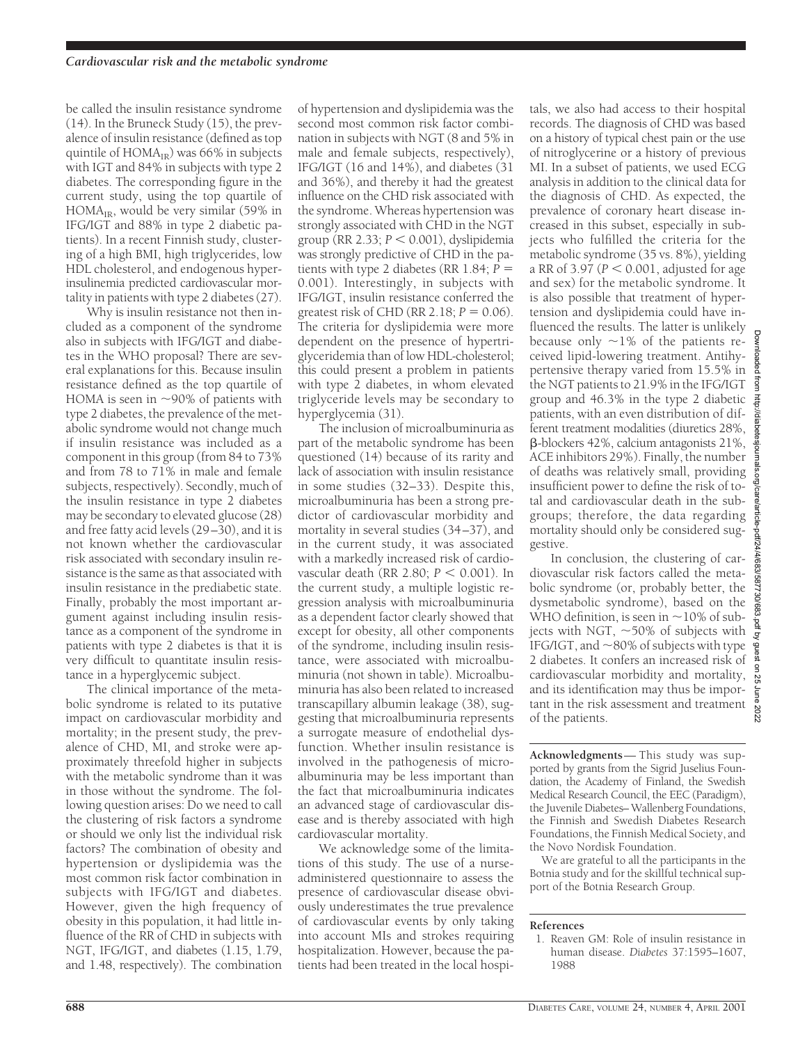be called the insulin resistance syndrome (14). In the Bruneck Study (15), the prevalence of insulin resistance (defined as top quintile of  $HOMA_{IR}$ ) was 66% in subjects with IGT and 84% in subjects with type 2 diabetes. The corresponding figure in the current study, using the top quartile of  $HOMA_{IR}$ , would be very similar (59% in IFG/IGT and 88% in type 2 diabetic patients). In a recent Finnish study, clustering of a high BMI, high triglycerides, low HDL cholesterol, and endogenous hyperinsulinemia predicted cardiovascular mortality in patients with type 2 diabetes (27).

Why is insulin resistance not then included as a component of the syndrome also in subjects with IFG/IGT and diabetes in the WHO proposal? There are several explanations for this. Because insulin resistance defined as the top quartile of HOMA is seen in  $\sim$ 90% of patients with type 2 diabetes, the prevalence of the metabolic syndrome would not change much if insulin resistance was included as a component in this group (from 84 to 73% and from 78 to 71% in male and female subjects, respectively). Secondly, much of the insulin resistance in type 2 diabetes may be secondary to elevated glucose (28) and free fatty acid levels (29–30), and it is not known whether the cardiovascular risk associated with secondary insulin resistance is the same as that associated with insulin resistance in the prediabetic state. Finally, probably the most important argument against including insulin resistance as a component of the syndrome in patients with type 2 diabetes is that it is very difficult to quantitate insulin resistance in a hyperglycemic subject.

The clinical importance of the metabolic syndrome is related to its putative impact on cardiovascular morbidity and mortality; in the present study, the prevalence of CHD, MI, and stroke were approximately threefold higher in subjects with the metabolic syndrome than it was in those without the syndrome. The following question arises: Do we need to call the clustering of risk factors a syndrome or should we only list the individual risk factors? The combination of obesity and hypertension or dyslipidemia was the most common risk factor combination in subjects with IFG/IGT and diabetes. However, given the high frequency of obesity in this population, it had little influence of the RR of CHD in subjects with NGT, IFG/IGT, and diabetes (1.15, 1.79, and 1.48, respectively). The combination

of hypertension and dyslipidemia was the second most common risk factor combination in subjects with NGT (8 and 5% in male and female subjects, respectively), IFG/IGT (16 and 14%), and diabetes (31 and 36%), and thereby it had the greatest influence on the CHD risk associated with the syndrome. Whereas hypertension was strongly associated with CHD in the NGT group (RR 2.33;  $P < 0.001$ ), dyslipidemia was strongly predictive of CHD in the patients with type 2 diabetes (RR  $1.84$ ;  $P =$ 0.001). Interestingly, in subjects with IFG/IGT, insulin resistance conferred the greatest risk of CHD (RR  $2.18$ ;  $P = 0.06$ ). The criteria for dyslipidemia were more dependent on the presence of hypertriglyceridemia than of low HDL-cholesterol; this could present a problem in patients with type 2 diabetes, in whom elevated triglyceride levels may be secondary to hyperglycemia (31).

The inclusion of microalbuminuria as part of the metabolic syndrome has been questioned (14) because of its rarity and lack of association with insulin resistance in some studies (32–33). Despite this, microalbuminuria has been a strong predictor of cardiovascular morbidity and mortality in several studies (34–37), and in the current study, it was associated with a markedly increased risk of cardiovascular death (RR 2.80;  $P < 0.001$ ). In the current study, a multiple logistic regression analysis with microalbuminuria as a dependent factor clearly showed that except for obesity, all other components of the syndrome, including insulin resistance, were associated with microalbuminuria (not shown in table). Microalbuminuria has also been related to increased transcapillary albumin leakage (38), suggesting that microalbuminuria represents a surrogate measure of endothelial dysfunction. Whether insulin resistance is involved in the pathogenesis of microalbuminuria may be less important than the fact that microalbuminuria indicates an advanced stage of cardiovascular disease and is thereby associated with high cardiovascular mortality.

We acknowledge some of the limitations of this study. The use of a nurseadministered questionnaire to assess the presence of cardiovascular disease obviously underestimates the true prevalence of cardiovascular events by only taking into account MIs and strokes requiring hospitalization. However, because the patients had been treated in the local hospitals, we also had access to their hospital records. The diagnosis of CHD was based on a history of typical chest pain or the use of nitroglycerine or a history of previous MI. In a subset of patients, we used ECG analysis in addition to the clinical data for the diagnosis of CHD. As expected, the prevalence of coronary heart disease increased in this subset, especially in subjects who fulfilled the criteria for the metabolic syndrome (35 vs. 8%), yielding a RR of 3.97 ( $P < 0.001$ , adjusted for age and sex) for the metabolic syndrome. It is also possible that treatment of hypertension and dyslipidemia could have influenced the results. The latter is unlikely because only  $\sim$ 1% of the patients received lipid-lowering treatment. Antihypertensive therapy varied from 15.5% in the NGT patients to 21.9% in the IFG/IGT group and 46.3% in the type 2 diabetic patients, with an even distribution of different treatment modalities (diuretics 28%, b-blockers 42%, calcium antagonists 21%, ACE inhibitors 29%). Finally, the number of deaths was relatively small, providing insufficient power to define the risk of total and cardiovascular death in the subgroups; therefore, the data regarding mortality should only be considered suggestive.

/4/683/587730/683.pdf by guest on In conclusion, the clustering of cardiovascular risk factors called the metabolic syndrome (or, probably better, the dysmetabolic syndrome), based on the WHO definition, is seen in  $\sim$ 10% of subjects with NGT,  $\sim$  50% of subjects with IFG/IGT, and  $\sim$ 80% of subjects with type 2 diabetes. It confers an increased risk of cardiovascular morbidity and mortality,  $\frac{5}{8}$ and its identification may thus be important in the risk assessment and treatment of the patients.

Downloaded from http://diabetesjournals.org/care/article-pdf/24/4/683/587730/683.pdf by guest on 25 June 2022

June 2022

rticle-pdf/2<sup>2</sup>

slournals.org/care/a

**Acknowledgments**— This study was supported by grants from the Sigrid Juselius Foundation, the Academy of Finland, the Swedish Medical Research Council, the EEC (Paradigm), the Juvenile Diabetes– Wallenberg Foundations, the Finnish and Swedish Diabetes Research Foundations, the Finnish Medical Society, and the Novo Nordisk Foundation.

We are grateful to all the participants in the Botnia study and for the skillful technical support of the Botnia Research Group.

#### **References**

1. Reaven GM: Role of insulin resistance in human disease. *Diabetes* 37:1595–1607, 1988